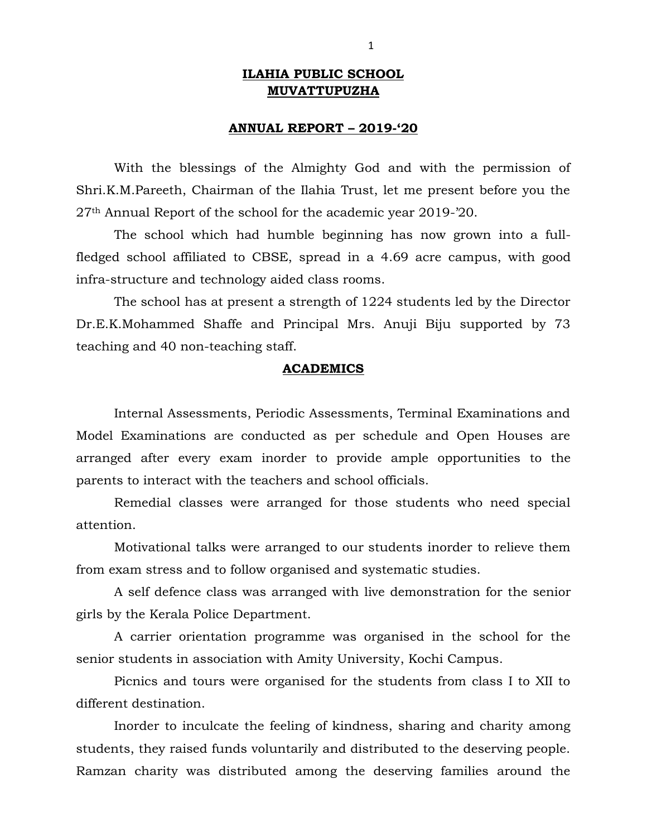## **ILAHIA PUBLIC SCHOOL MUVATTUPUZHA**

## **ANNUAL REPORT – 2019-'20**

With the blessings of the Almighty God and with the permission of Shri.K.M.Pareeth, Chairman of the Ilahia Trust, let me present before you the 27th Annual Report of the school for the academic year 2019-'20.

The school which had humble beginning has now grown into a fullfledged school affiliated to CBSE, spread in a 4.69 acre campus, with good infra-structure and technology aided class rooms.

The school has at present a strength of 1224 students led by the Director Dr.E.K.Mohammed Shaffe and Principal Mrs. Anuji Biju supported by 73 teaching and 40 non-teaching staff.

## **ACADEMICS**

Internal Assessments, Periodic Assessments, Terminal Examinations and Model Examinations are conducted as per schedule and Open Houses are arranged after every exam inorder to provide ample opportunities to the parents to interact with the teachers and school officials.

Remedial classes were arranged for those students who need special attention.

Motivational talks were arranged to our students inorder to relieve them from exam stress and to follow organised and systematic studies.

A self defence class was arranged with live demonstration for the senior girls by the Kerala Police Department.

A carrier orientation programme was organised in the school for the senior students in association with Amity University, Kochi Campus.

Picnics and tours were organised for the students from class I to XII to different destination.

Inorder to inculcate the feeling of kindness, sharing and charity among students, they raised funds voluntarily and distributed to the deserving people. Ramzan charity was distributed among the deserving families around the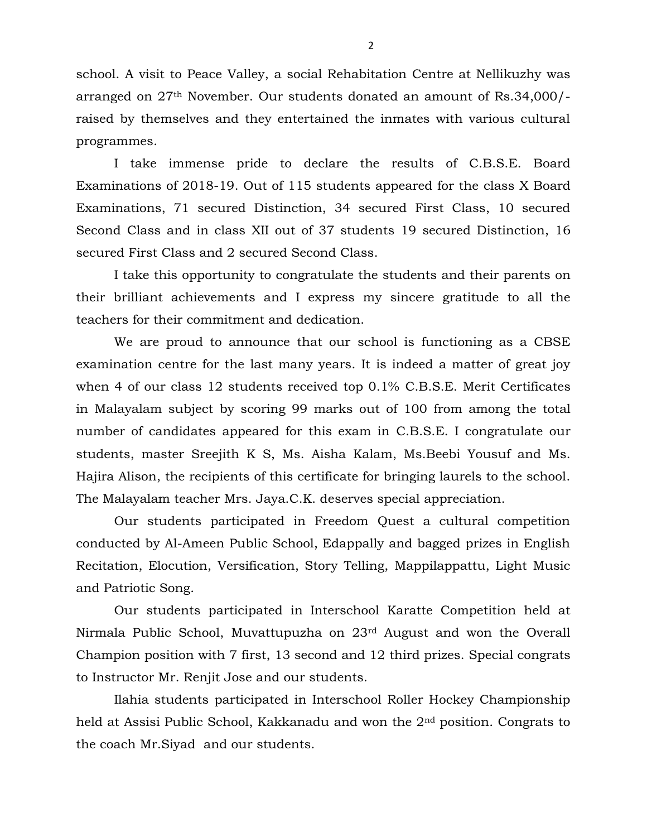school. A visit to Peace Valley, a social Rehabitation Centre at Nellikuzhy was arranged on 27th November. Our students donated an amount of Rs.34,000/ raised by themselves and they entertained the inmates with various cultural programmes.

I take immense pride to declare the results of C.B.S.E. Board Examinations of 2018-19. Out of 115 students appeared for the class X Board Examinations, 71 secured Distinction, 34 secured First Class, 10 secured Second Class and in class XII out of 37 students 19 secured Distinction, 16 secured First Class and 2 secured Second Class.

I take this opportunity to congratulate the students and their parents on their brilliant achievements and I express my sincere gratitude to all the teachers for their commitment and dedication.

We are proud to announce that our school is functioning as a CBSE examination centre for the last many years. It is indeed a matter of great joy when 4 of our class 12 students received top 0.1% C.B.S.E. Merit Certificates in Malayalam subject by scoring 99 marks out of 100 from among the total number of candidates appeared for this exam in C.B.S.E. I congratulate our students, master Sreejith K S, Ms. Aisha Kalam, Ms.Beebi Yousuf and Ms. Hajira Alison, the recipients of this certificate for bringing laurels to the school. The Malayalam teacher Mrs. Jaya.C.K. deserves special appreciation.

Our students participated in Freedom Quest a cultural competition conducted by Al-Ameen Public School, Edappally and bagged prizes in English Recitation, Elocution, Versification, Story Telling, Mappilappattu, Light Music and Patriotic Song.

Our students participated in Interschool Karatte Competition held at Nirmala Public School, Muvattupuzha on 23rd August and won the Overall Champion position with 7 first, 13 second and 12 third prizes. Special congrats to Instructor Mr. Renjit Jose and our students.

Ilahia students participated in Interschool Roller Hockey Championship held at Assisi Public School, Kakkanadu and won the 2nd position. Congrats to the coach Mr.Siyad and our students.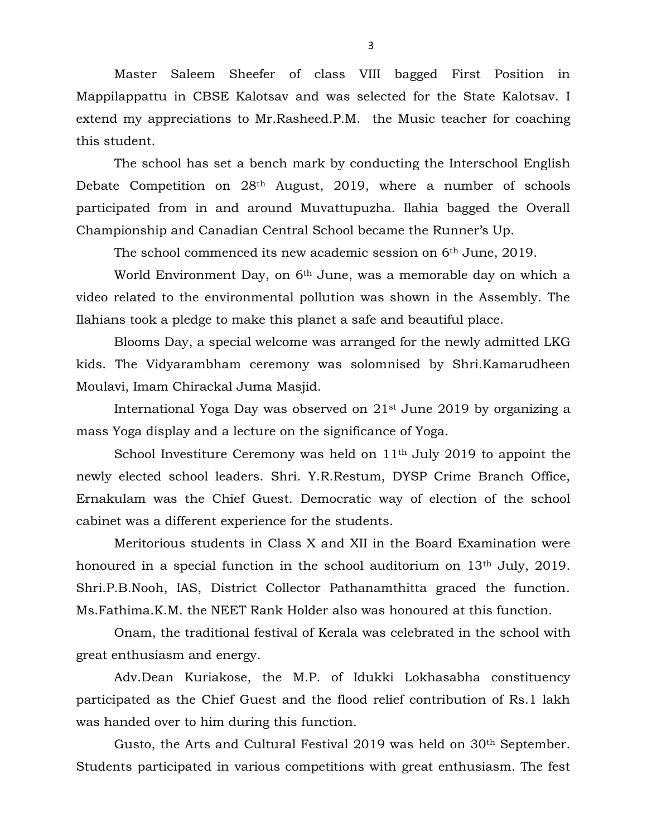Master Saleem Sheefer of class VIII bagged First Position in Mappilappattu in CBSE Kalotsav and was selected for the State Kalotsav. I extend my appreciations to Mr.Rasheed.P.M. the Music teacher for coaching this student.

The school has set a bench mark by conducting the Interschool English Debate Competition on 28th August, 2019, where a number of schools participated from in and around Muvattupuzha. Ilahia bagged the Overall Championship and Canadian Central School became the Runner's Up.

The school commenced its new academic session on 6<sup>th</sup> June, 2019.

World Environment Day, on 6th June, was a memorable day on which a video related to the environmental pollution was shown in the Assembly. The Ilahians took a pledge to make this planet a safe and beautiful place.

Blooms Day, a special welcome was arranged for the newly admitted LKG kids. The Vidyarambham ceremony was solomnised by Shri.Kamarudheen Moulavi, Imam Chirackal Juma Masjid.

International Yoga Day was observed on 21st June 2019 by organizing a mass Yoga display and a lecture on the significance of Yoga.

School Investiture Ceremony was held on 11<sup>th</sup> July 2019 to appoint the newly elected school leaders. Shri. Y.R.Restum, DYSP Crime Branch Office, Ernakulam was the Chief Guest. Democratic way of election of the school cabinet was a different experience for the students.

Meritorious students in Class X and XII in the Board Examination were honoured in a special function in the school auditorium on 13<sup>th</sup> July, 2019. Shri.P.B.Nooh, IAS, District Collector Pathanamthitta graced the function. Ms.Fathima.K.M. the NEET Rank Holder also was honoured at this function.

Onam, the traditional festival of Kerala was celebrated in the school with great enthusiasm and energy.

Adv.Dean Kuriakose, the M.P. of Idukki Lokhasabha constituency participated as the Chief Guest and the flood relief contribution of Rs.1 lakh was handed over to him during this function.

Gusto, the Arts and Cultural Festival 2019 was held on 30<sup>th</sup> September. Students participated in various competitions with great enthusiasm. The fest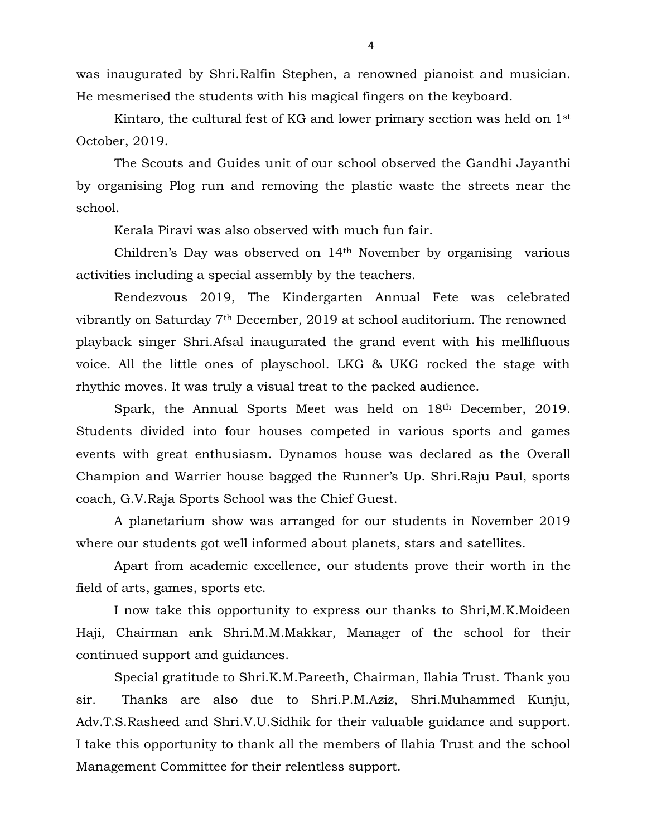was inaugurated by Shri.Ralfin Stephen, a renowned pianoist and musician. He mesmerised the students with his magical fingers on the keyboard.

Kintaro, the cultural fest of KG and lower primary section was held on 1st October, 2019.

The Scouts and Guides unit of our school observed the Gandhi Jayanthi by organising Plog run and removing the plastic waste the streets near the school.

Kerala Piravi was also observed with much fun fair.

Children's Day was observed on 14th November by organising various activities including a special assembly by the teachers.

Rendezvous 2019, The Kindergarten Annual Fete was celebrated vibrantly on Saturday 7th December, 2019 at school auditorium. The renowned playback singer Shri.Afsal inaugurated the grand event with his mellifluous voice. All the little ones of playschool. LKG & UKG rocked the stage with rhythic moves. It was truly a visual treat to the packed audience.

Spark, the Annual Sports Meet was held on 18th December, 2019. Students divided into four houses competed in various sports and games events with great enthusiasm. Dynamos house was declared as the Overall Champion and Warrier house bagged the Runner's Up. Shri.Raju Paul, sports coach, G.V.Raja Sports School was the Chief Guest.

A planetarium show was arranged for our students in November 2019 where our students got well informed about planets, stars and satellites.

Apart from academic excellence, our students prove their worth in the field of arts, games, sports etc.

I now take this opportunity to express our thanks to Shri,M.K.Moideen Haji, Chairman ank Shri.M.M.Makkar, Manager of the school for their continued support and guidances.

Special gratitude to Shri.K.M.Pareeth, Chairman, Ilahia Trust. Thank you sir. Thanks are also due to Shri.P.M.Aziz, Shri.Muhammed Kunju, Adv.T.S.Rasheed and Shri.V.U.Sidhik for their valuable guidance and support. I take this opportunity to thank all the members of Ilahia Trust and the school Management Committee for their relentless support.